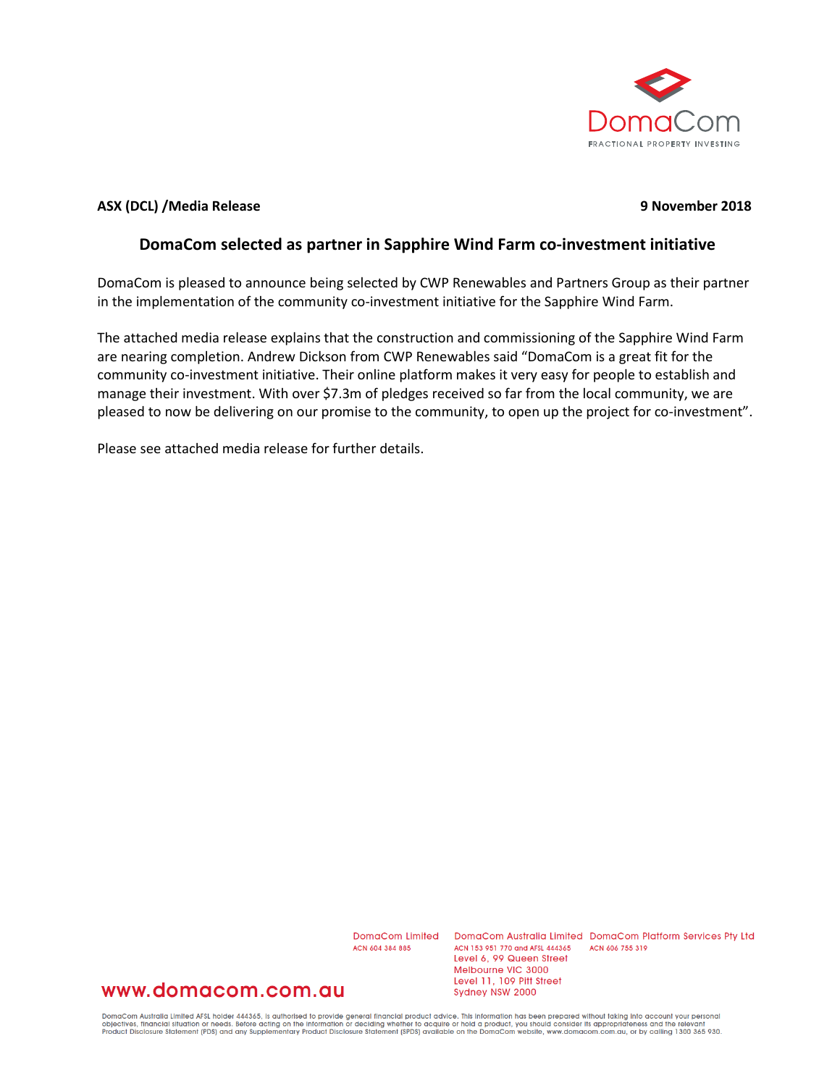

### **ASX (DCL) /Media Release 9 November 2018**

### **DomaCom selected as partner in Sapphire Wind Farm co-investment initiative**

DomaCom is pleased to announce being selected by CWP Renewables and Partners Group as their partner in the implementation of the community co-investment initiative for the Sapphire Wind Farm.

The attached media release explains that the construction and commissioning of the Sapphire Wind Farm are nearing completion. Andrew Dickson from CWP Renewables said "DomaCom is a great fit for the community co-investment initiative. Their online platform makes it very easy for people to establish and manage their investment. With over \$7.3m of pledges received so far from the local community, we are pleased to now be delivering on our promise to the community, to open up the project for co-investment".

Please see attached media release for further details.

ACN 604 384 885

DomaCom Limited DomaCom Australia Limited DomaCom Platform Services Pty Ltd ACN 153 951 770 and AFSL 444365 ACN 606 755 319 Level 6, 99 Queen Street Melbourne VIC 3000 Level 11, 109 Pitt Street Sydney NSW 2000

### www.domacom.com.au

DomaCom Australia Limited AFSL holder 444365, is authorised to provide general financial product advice. This information has been prepared without taking into account your personal<br>objectives, financial situation or needs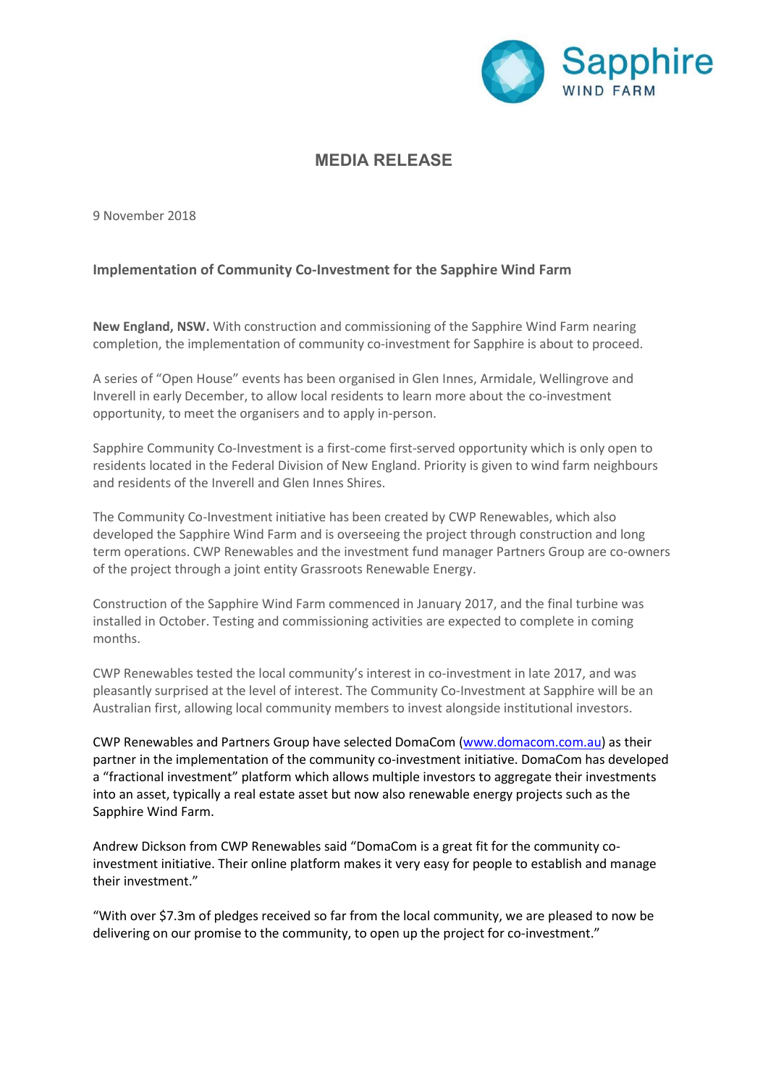

### MEDIA RELEASE

9 November 2018

### Implementation of Community Co-Investment for the Sapphire Wind Farm

New England, NSW. With construction and commissioning of the Sapphire Wind Farm nearing completion, the implementation of community co-investment for Sapphire is about to proceed.

A series of "Open House" events has been organised in Glen Innes, Armidale, Wellingrove and Inverell in early December, to allow local residents to learn more about the co-investment opportunity, to meet the organisers and to apply in-person.

Sapphire Community Co-Investment is a first-come first-served opportunity which is only open to residents located in the Federal Division of New England. Priority is given to wind farm neighbours and residents of the Inverell and Glen Innes Shires.

The Community Co-Investment initiative has been created by CWP Renewables, which also developed the Sapphire Wind Farm and is overseeing the project through construction and long term operations. CWP Renewables and the investment fund manager Partners Group are co-owners of the project through a joint entity Grassroots Renewable Energy.

Construction of the Sapphire Wind Farm commenced in January 2017, and the final turbine was installed in October. Testing and commissioning activities are expected to complete in coming months.

CWP Renewables tested the local community's interest in co-investment in late 2017, and was pleasantly surprised at the level of interest. The Community Co-Investment at Sapphire will be an Australian first, allowing local community members to invest alongside institutional investors.

CWP Renewables and Partners Group have selected DomaCom (www.domacom.com.au) as their partner in the implementation of the community co-investment initiative. DomaCom has developed a "fractional investment" platform which allows multiple investors to aggregate their investments into an asset, typically a real estate asset but now also renewable energy projects such as the Sapphire Wind Farm.

Andrew Dickson from CWP Renewables said "DomaCom is a great fit for the community coinvestment initiative. Their online platform makes it very easy for people to establish and manage their investment."

"With over \$7.3m of pledges received so far from the local community, we are pleased to now be delivering on our promise to the community, to open up the project for co-investment."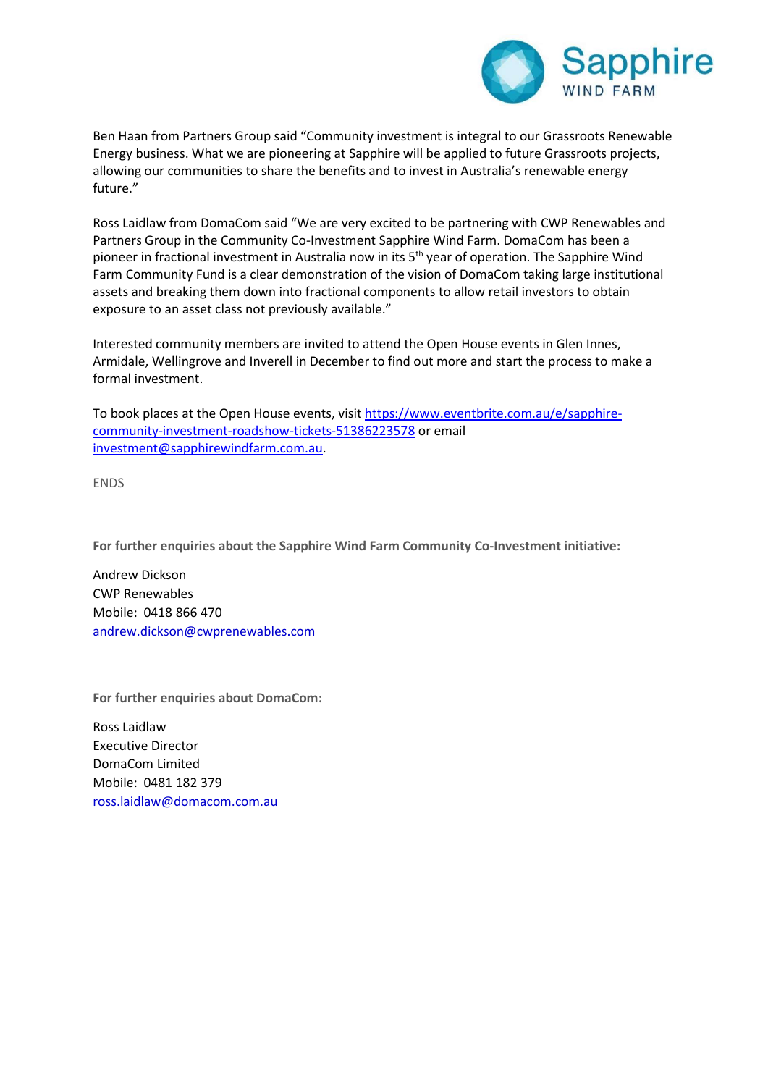

Ben Haan from Partners Group said "Community investment is integral to our Grassroots Renewable Energy business. What we are pioneering at Sapphire will be applied to future Grassroots projects, allowing our communities to share the benefits and to invest in Australia's renewable energy future."

Ross Laidlaw from DomaCom said "We are very excited to be partnering with CWP Renewables and Partners Group in the Community Co-Investment Sapphire Wind Farm. DomaCom has been a pioneer in fractional investment in Australia now in its 5<sup>th</sup> year of operation. The Sapphire Wind Farm Community Fund is a clear demonstration of the vision of DomaCom taking large institutional assets and breaking them down into fractional components to allow retail investors to obtain exposure to an asset class not previously available."

Interested community members are invited to attend the Open House events in Glen Innes, Armidale, Wellingrove and Inverell in December to find out more and start the process to make a formal investment.

To book places at the Open House events, visit https://www.eventbrite.com.au/e/sapphirecommunity-investment-roadshow-tickets-51386223578 or email investment@sapphirewindfarm.com.au.

ENDS

For further enquiries about the Sapphire Wind Farm Community Co-Investment initiative:

Andrew Dickson CWP Renewables Mobile: 0418 866 470 andrew.dickson@cwprenewables.com

For further enquiries about DomaCom:

Ross Laidlaw Executive Director DomaCom Limited Mobile: 0481 182 379 ross.laidlaw@domacom.com.au